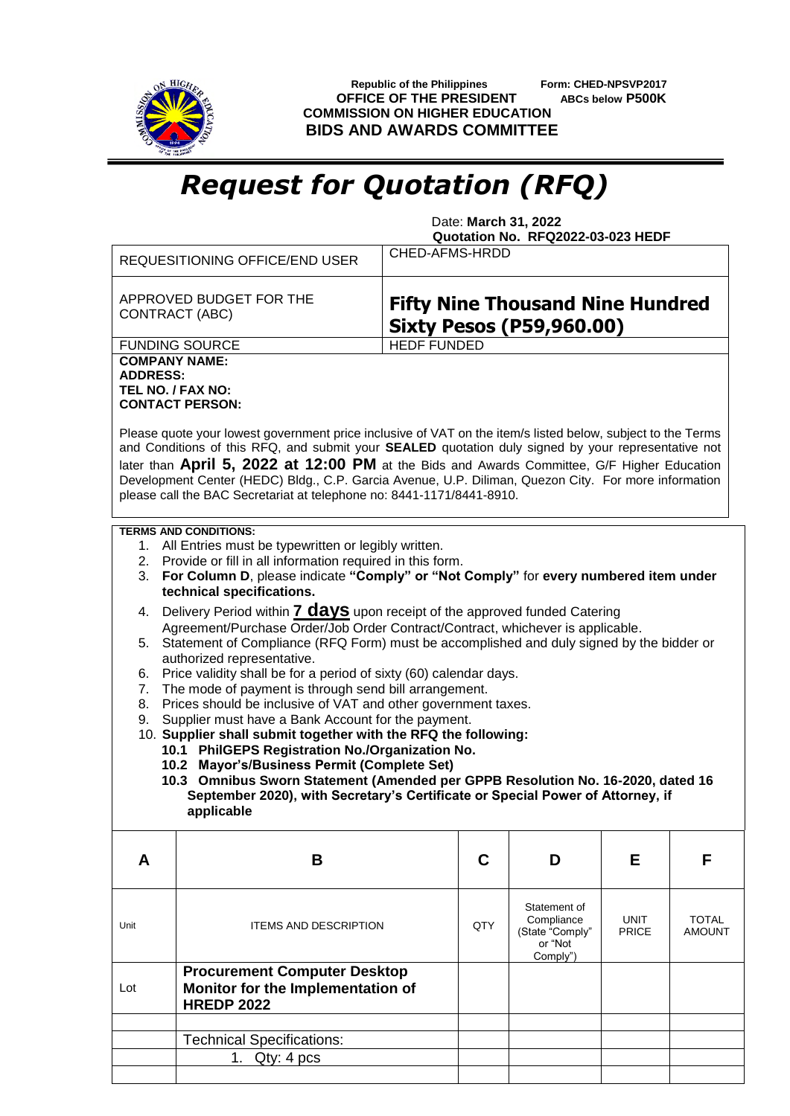

 **Republic of the Philippines Form: CHED-NPSVP2017 OFFICE OF THE PRESIDENT ABCs below P500K COMMISSION ON HIGHER EDUCATION BIDS AND AWARDS COMMITTEE**

## *Request for Quotation (RFQ)*

 Date: **March 31, 2022 Quotation No. RFQ2022-03-023 HEDF**

|                                                                                                                                                                                  | CHED-AFMS-HRDD<br>REQUESITIONING OFFICE/END USER                                                                                                                                                                                                                                                                                                                                                                                                                                                                                                                                                          |                                                                            |     |                            |             |              |  |  |  |
|----------------------------------------------------------------------------------------------------------------------------------------------------------------------------------|-----------------------------------------------------------------------------------------------------------------------------------------------------------------------------------------------------------------------------------------------------------------------------------------------------------------------------------------------------------------------------------------------------------------------------------------------------------------------------------------------------------------------------------------------------------------------------------------------------------|----------------------------------------------------------------------------|-----|----------------------------|-------------|--------------|--|--|--|
|                                                                                                                                                                                  | APPROVED BUDGET FOR THE<br>CONTRACT (ABC)                                                                                                                                                                                                                                                                                                                                                                                                                                                                                                                                                                 | <b>Fifty Nine Thousand Nine Hundred</b><br><b>Sixty Pesos (P59,960.00)</b> |     |                            |             |              |  |  |  |
|                                                                                                                                                                                  | <b>FUNDING SOURCE</b>                                                                                                                                                                                                                                                                                                                                                                                                                                                                                                                                                                                     | <b>HEDF FUNDED</b>                                                         |     |                            |             |              |  |  |  |
| <b>ADDRESS:</b>                                                                                                                                                                  | <b>COMPANY NAME:</b><br>TEL NO. / FAX NO:<br><b>CONTACT PERSON:</b><br>Please quote your lowest government price inclusive of VAT on the item/s listed below, subject to the Terms<br>and Conditions of this RFQ, and submit your SEALED quotation duly signed by your representative not<br>later than April 5, 2022 at 12:00 PM at the Bids and Awards Committee, G/F Higher Education<br>Development Center (HEDC) Bldg., C.P. Garcia Avenue, U.P. Diliman, Quezon City. For more information<br>please call the BAC Secretariat at telephone no: 8441-1171/8441-8910.<br><b>TERMS AND CONDITIONS:</b> |                                                                            |     |                            |             |              |  |  |  |
|                                                                                                                                                                                  | 1. All Entries must be typewritten or legibly written.                                                                                                                                                                                                                                                                                                                                                                                                                                                                                                                                                    |                                                                            |     |                            |             |              |  |  |  |
| 2. Provide or fill in all information required in this form.                                                                                                                     |                                                                                                                                                                                                                                                                                                                                                                                                                                                                                                                                                                                                           |                                                                            |     |                            |             |              |  |  |  |
|                                                                                                                                                                                  | For Column D, please indicate "Comply" or "Not Comply" for every numbered item under<br>3.<br>technical specifications.                                                                                                                                                                                                                                                                                                                                                                                                                                                                                   |                                                                            |     |                            |             |              |  |  |  |
| 4.                                                                                                                                                                               | Delivery Period within 7 <b>days</b> upon receipt of the approved funded Catering                                                                                                                                                                                                                                                                                                                                                                                                                                                                                                                         |                                                                            |     |                            |             |              |  |  |  |
| Agreement/Purchase Order/Job Order Contract/Contract, whichever is applicable.<br>Statement of Compliance (RFQ Form) must be accomplished and duly signed by the bidder or<br>5. |                                                                                                                                                                                                                                                                                                                                                                                                                                                                                                                                                                                                           |                                                                            |     |                            |             |              |  |  |  |
|                                                                                                                                                                                  | authorized representative.                                                                                                                                                                                                                                                                                                                                                                                                                                                                                                                                                                                |                                                                            |     |                            |             |              |  |  |  |
| 6.<br>7.                                                                                                                                                                         | Price validity shall be for a period of sixty (60) calendar days.<br>The mode of payment is through send bill arrangement.                                                                                                                                                                                                                                                                                                                                                                                                                                                                                |                                                                            |     |                            |             |              |  |  |  |
| 8.                                                                                                                                                                               | Prices should be inclusive of VAT and other government taxes.                                                                                                                                                                                                                                                                                                                                                                                                                                                                                                                                             |                                                                            |     |                            |             |              |  |  |  |
| 9.                                                                                                                                                                               | Supplier must have a Bank Account for the payment.                                                                                                                                                                                                                                                                                                                                                                                                                                                                                                                                                        |                                                                            |     |                            |             |              |  |  |  |
|                                                                                                                                                                                  | 10. Supplier shall submit together with the RFQ the following:<br>10.1 PhilGEPS Registration No./Organization No.                                                                                                                                                                                                                                                                                                                                                                                                                                                                                         |                                                                            |     |                            |             |              |  |  |  |
|                                                                                                                                                                                  | 10.2 Mayor's/Business Permit (Complete Set)                                                                                                                                                                                                                                                                                                                                                                                                                                                                                                                                                               |                                                                            |     |                            |             |              |  |  |  |
|                                                                                                                                                                                  | 10.3 Omnibus Sworn Statement (Amended per GPPB Resolution No. 16-2020, dated 16                                                                                                                                                                                                                                                                                                                                                                                                                                                                                                                           |                                                                            |     |                            |             |              |  |  |  |
|                                                                                                                                                                                  | September 2020), with Secretary's Certificate or Special Power of Attorney, if<br>applicable                                                                                                                                                                                                                                                                                                                                                                                                                                                                                                              |                                                                            |     |                            |             |              |  |  |  |
| A                                                                                                                                                                                | B                                                                                                                                                                                                                                                                                                                                                                                                                                                                                                                                                                                                         |                                                                            | C   | D                          | Е           | F            |  |  |  |
|                                                                                                                                                                                  |                                                                                                                                                                                                                                                                                                                                                                                                                                                                                                                                                                                                           |                                                                            |     |                            |             |              |  |  |  |
|                                                                                                                                                                                  |                                                                                                                                                                                                                                                                                                                                                                                                                                                                                                                                                                                                           |                                                                            |     | Statement of<br>Compliance | <b>UNIT</b> | <b>TOTAL</b> |  |  |  |
| Unit                                                                                                                                                                             | <b>ITEMS AND DESCRIPTION</b>                                                                                                                                                                                                                                                                                                                                                                                                                                                                                                                                                                              |                                                                            | QTY | (State "Comply"            | PRICE       | AMOUNT       |  |  |  |
|                                                                                                                                                                                  |                                                                                                                                                                                                                                                                                                                                                                                                                                                                                                                                                                                                           |                                                                            |     | or "Not<br>Comply")        |             |              |  |  |  |
|                                                                                                                                                                                  | <b>Procurement Computer Desktop</b>                                                                                                                                                                                                                                                                                                                                                                                                                                                                                                                                                                       |                                                                            |     |                            |             |              |  |  |  |
| Lot                                                                                                                                                                              | Monitor for the Implementation of<br><b>HREDP 2022</b>                                                                                                                                                                                                                                                                                                                                                                                                                                                                                                                                                    |                                                                            |     |                            |             |              |  |  |  |
|                                                                                                                                                                                  |                                                                                                                                                                                                                                                                                                                                                                                                                                                                                                                                                                                                           |                                                                            |     |                            |             |              |  |  |  |
|                                                                                                                                                                                  | <b>Technical Specifications:</b>                                                                                                                                                                                                                                                                                                                                                                                                                                                                                                                                                                          |                                                                            |     |                            |             |              |  |  |  |
|                                                                                                                                                                                  | 1. $Qty: 4 pcs$                                                                                                                                                                                                                                                                                                                                                                                                                                                                                                                                                                                           |                                                                            |     |                            |             |              |  |  |  |
|                                                                                                                                                                                  |                                                                                                                                                                                                                                                                                                                                                                                                                                                                                                                                                                                                           |                                                                            |     |                            |             |              |  |  |  |